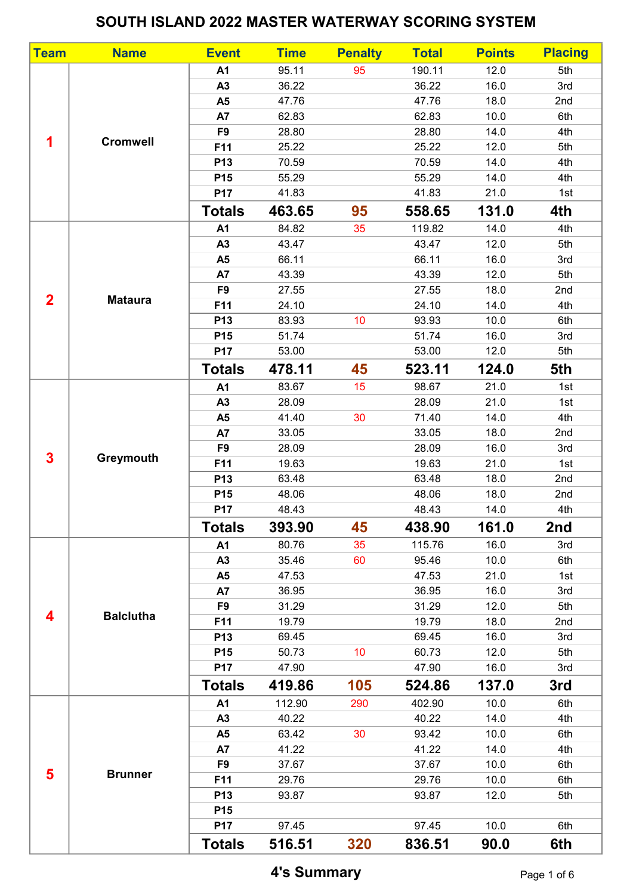## SOUTH ISLAND 2022 MASTER WATERWAY SCORING SYSTEM

| <b>Team</b>    | <b>Name</b>      | <b>Event</b>    | <b>Time</b> | <b>Penalty</b>  | <b>Total</b> | <b>Points</b> | <b>Placing</b> |
|----------------|------------------|-----------------|-------------|-----------------|--------------|---------------|----------------|
| 1              | <b>Cromwell</b>  | A1              | 95.11       | 95              | 190.11       | 12.0          | 5th            |
|                |                  | A3              | 36.22       |                 | 36.22        | 16.0          | 3rd            |
|                |                  | A <sub>5</sub>  | 47.76       |                 | 47.76        | 18.0          | 2nd            |
|                |                  | A7              | 62.83       |                 | 62.83        | 10.0          | 6th            |
|                |                  | F <sub>9</sub>  | 28.80       |                 | 28.80        | 14.0          | 4th            |
|                |                  | F11             | 25.22       |                 | 25.22        | 12.0          | 5th            |
|                |                  | P <sub>13</sub> | 70.59       |                 | 70.59        | 14.0          | 4th            |
|                |                  | P <sub>15</sub> | 55.29       |                 | 55.29        | 14.0          | 4th            |
|                |                  | P17             | 41.83       |                 | 41.83        | 21.0          | 1st            |
|                |                  | <b>Totals</b>   | 463.65      | 95              | 558.65       | 131.0         | 4th            |
| $\overline{2}$ | <b>Mataura</b>   | A1              | 84.82       | 35              | 119.82       | 14.0          | 4th            |
|                |                  | A3              | 43.47       |                 | 43.47        | 12.0          | 5th            |
|                |                  | A <sub>5</sub>  | 66.11       |                 | 66.11        | 16.0          | 3rd            |
|                |                  | A7              | 43.39       |                 | 43.39        | 12.0          | 5th            |
|                |                  | F <sub>9</sub>  | 27.55       |                 | 27.55        | 18.0          | 2nd            |
|                |                  | F11             | 24.10       |                 | 24.10        | 14.0          | 4th            |
|                |                  | P13             | 83.93       | 10 <sup>°</sup> | 93.93        | 10.0          | 6th            |
|                |                  | P <sub>15</sub> | 51.74       |                 | 51.74        | 16.0          | 3rd            |
|                |                  | P17             | 53.00       |                 | 53.00        | 12.0          | 5th            |
|                |                  | <b>Totals</b>   | 478.11      | 45              | 523.11       | 124.0         | 5th            |
|                | Greymouth        | A1              | 83.67       | 15              | 98.67        | 21.0          | 1st            |
|                |                  | A3              | 28.09       |                 | 28.09        | 21.0          | 1st            |
| $\mathbf{3}$   |                  | A <sub>5</sub>  | 41.40       | 30              | 71.40        | 14.0          | 4th            |
|                |                  | A7              | 33.05       |                 | 33.05        | 18.0          | 2nd            |
|                |                  | F <sub>9</sub>  | 28.09       |                 | 28.09        | 16.0          | 3rd            |
|                |                  | F11             | 19.63       |                 | 19.63        | 21.0          | 1st            |
|                |                  | P <sub>13</sub> | 63.48       |                 | 63.48        | 18.0          | 2nd            |
|                |                  | P15             | 48.06       |                 | 48.06        | 18.0          | 2nd            |
|                |                  | P17             | 48.43       |                 | 48.43        | 14.0          | 4th            |
|                |                  | <b>Totals</b>   | 393.90      | 45              | 438.90       | 161.0         | 2nd            |
|                | <b>Balclutha</b> | A1              | 80.76       | 35              | 115.76       | 16.0          | 3rd            |
|                |                  | A3              | 35.46       | 60              | 95.46        | 10.0          | 6th            |
| 4              |                  | A <sub>5</sub>  | 47.53       |                 | 47.53        | 21.0          | 1st            |
|                |                  | A7              | 36.95       |                 | 36.95        | 16.0          | 3rd            |
|                |                  | F <sub>9</sub>  | 31.29       |                 | 31.29        | 12.0          | 5th            |
|                |                  | F11             | 19.79       |                 | 19.79        | 18.0          | 2nd            |
|                |                  | P <sub>13</sub> | 69.45       |                 | 69.45        | 16.0          | 3rd            |
|                |                  | P <sub>15</sub> | 50.73       | 10              | 60.73        | 12.0          | 5th            |
|                |                  | P17             | 47.90       |                 | 47.90        | 16.0          | 3rd            |
|                |                  | <b>Totals</b>   | 419.86      | 105             | 524.86       | 137.0         | 3rd            |
|                | <b>Brunner</b>   | A1              | 112.90      | 290             | 402.90       | 10.0          | 6th            |
|                |                  | A3              | 40.22       |                 | 40.22        | 14.0          | 4th            |
|                |                  | A <sub>5</sub>  | 63.42       | 30              | 93.42        | 10.0          | 6th            |
| 5              |                  | A7              | 41.22       |                 | 41.22        | 14.0          | 4th            |
|                |                  | F <sub>9</sub>  | 37.67       |                 | 37.67        | 10.0          | 6th            |
|                |                  | F11             | 29.76       |                 | 29.76        | 10.0          | 6th            |
|                |                  | P <sub>13</sub> | 93.87       |                 | 93.87        | 12.0          | 5th            |
|                |                  | P <sub>15</sub> |             |                 |              |               |                |
|                |                  | P17             | 97.45       |                 | 97.45        | 10.0          | 6th            |
|                |                  | <b>Totals</b>   | 516.51      | 320             | 836.51       | 90.0          | 6th            |